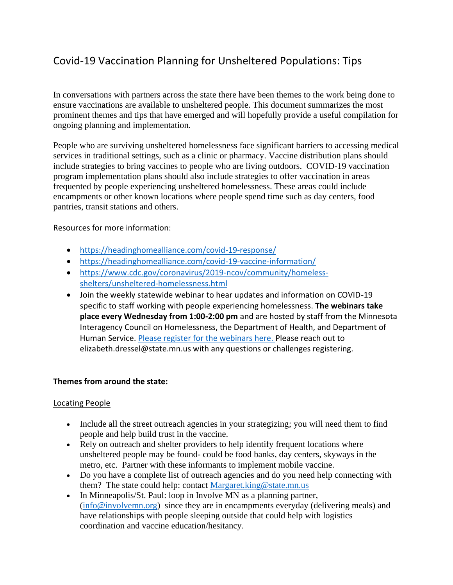# Covid-19 Vaccination Planning for Unsheltered Populations: Tips

In conversations with partners across the state there have been themes to the work being done to ensure vaccinations are available to unsheltered people. This document summarizes the most prominent themes and tips that have emerged and will hopefully provide a useful compilation for ongoing planning and implementation.

People who are surviving unsheltered homelessness face significant barriers to accessing medical services in traditional settings, such as a clinic or pharmacy. Vaccine distribution plans should include strategies to bring vaccines to people who are living outdoors. COVID-19 vaccination program implementation plans should also include strategies to offer vaccination in areas frequented by people experiencing unsheltered homelessness. These areas could include encampments or other known locations where people spend time such as day centers, food pantries, transit stations and others.

Resources for more information:

- <https://headinghomealliance.com/covid-19-response/>
- <https://headinghomealliance.com/covid-19-vaccine-information/>
- [https://www.cdc.gov/coronavirus/2019-ncov/community/homeless](https://www.cdc.gov/coronavirus/2019-ncov/community/homeless-shelters/unsheltered-homelessness.html)[shelters/unsheltered-homelessness.html](https://www.cdc.gov/coronavirus/2019-ncov/community/homeless-shelters/unsheltered-homelessness.html)
- Join the weekly statewide webinar to hear updates and information on COVID-19 specific to staff working with people experiencing homelessness. **The webinars take place every Wednesday from 1:00-2:00 pm** and are hosted by staff from the Minnesota Interagency Council on Homelessness, the Department of Health, and Department of Human Service. [Please register for the webinars here. P](https://attendee.gotowebinar.com/register/6254884563740563980)lease reach out to elizabeth.dressel@state.mn.us with any questions or challenges registering.

#### **Themes from around the state:**

#### Locating People

- Include all the street outreach agencies in your strategizing; you will need them to find people and help build trust in the vaccine.
- Rely on outreach and shelter providers to help identify frequent locations where unsheltered people may be found- could be food banks, day centers, skyways in the metro, etc. Partner with these informants to implement mobile vaccine.
- Do you have a complete list of outreach agencies and do you need help connecting with them? The state could help: contact [Margaret.king@state.mn.us](mailto:Margaret.king@state.mn.us)
- In Minneapolis/St. Paul: loop in Involve MN as a planning partner, [\(info@involvemn.org\)](mailto:info@involvemn.org) since they are in encampments everyday (delivering meals) and have relationships with people sleeping outside that could help with logistics coordination and vaccine education/hesitancy.